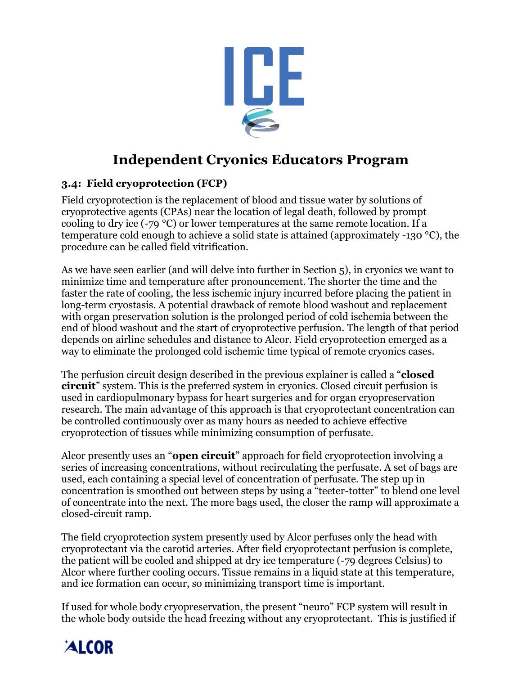

# **Independent Cryonics Educators Program**

### **3.4: Field cryoprotection (FCP)**

Field cryoprotection is the replacement of blood and tissue water by solutions of cryoprotective agents (CPAs) near the location of legal death, followed by prompt cooling to dry ice (-79 °C) or lower temperatures at the same remote location. If a temperature cold enough to achieve a solid state is attained (approximately -130 °C), the procedure can be called field vitrification.

As we have seen earlier (and will delve into further in Section 5), in cryonics we want to minimize time and temperature after pronouncement. The shorter the time and the faster the rate of cooling, the less ischemic injury incurred before placing the patient in long-term cryostasis. A potential drawback of remote blood washout and replacement with organ preservation solution is the prolonged period of cold ischemia between the end of blood washout and the start of cryoprotective perfusion. The length of that period depends on airline schedules and distance to Alcor. Field cryoprotection emerged as a way to eliminate the prolonged cold ischemic time typical of remote cryonics cases.

The perfusion circuit design described in the previous explainer is called a "**closed circuit**" system. This is the preferred system in cryonics. Closed circuit perfusion is used in cardiopulmonary bypass for heart surgeries and for organ cryopreservation research. The main advantage of this approach is that cryoprotectant concentration can be controlled continuously over as many hours as needed to achieve effective cryoprotection of tissues while minimizing consumption of perfusate.

Alcor presently uses an "**open circuit**" approach for field cryoprotection involving a series of increasing concentrations, without recirculating the perfusate. A set of bags are used, each containing a special level of concentration of perfusate. The step up in concentration is smoothed out between steps by using a "teeter-totter" to blend one level of concentrate into the next. The more bags used, the closer the ramp will approximate a closed-circuit ramp.

The field cryoprotection system presently used by Alcor perfuses only the head with cryoprotectant via the carotid arteries. After field cryoprotectant perfusion is complete, the patient will be cooled and shipped at dry ice temperature (-79 degrees Celsius) to Alcor where further cooling occurs. Tissue remains in a liquid state at this temperature, and ice formation can occur, so minimizing transport time is important.

If used for whole body cryopreservation, the present "neuro" FCP system will result in the whole body outside the head freezing without any cryoprotectant. This is justified if

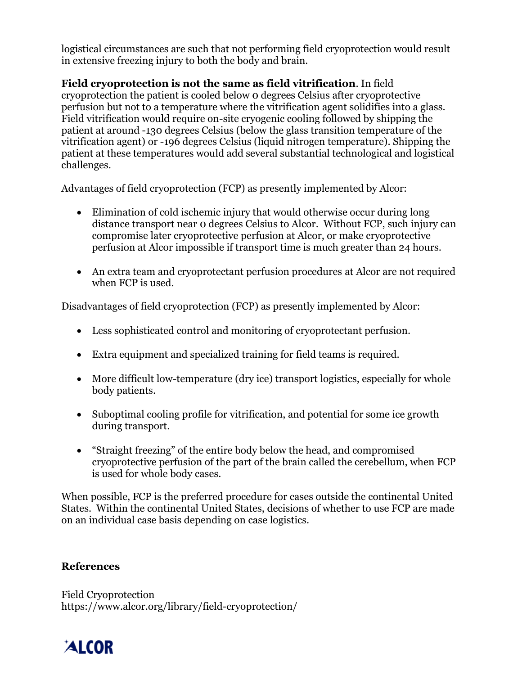logistical circumstances are such that not performing field cryoprotection would result in extensive freezing injury to both the body and brain.

# **Field cryoprotection is not the same as field vitrification**. In field

cryoprotection the patient is cooled below 0 degrees Celsius after cryoprotective perfusion but not to a temperature where the vitrification agent solidifies into a glass. Field vitrification would require on-site cryogenic cooling followed by shipping the patient at around -130 degrees Celsius (below the glass transition temperature of the vitrification agent) or -196 degrees Celsius (liquid nitrogen temperature). Shipping the patient at these temperatures would add several substantial technological and logistical challenges.

Advantages of field cryoprotection (FCP) as presently implemented by Alcor:

- Elimination of cold ischemic injury that would otherwise occur during long distance transport near 0 degrees Celsius to Alcor. Without FCP, such injury can compromise later cryoprotective perfusion at Alcor, or make cryoprotective perfusion at Alcor impossible if transport time is much greater than 24 hours.
- An extra team and cryoprotectant perfusion procedures at Alcor are not required when FCP is used.

Disadvantages of field cryoprotection (FCP) as presently implemented by Alcor:

- Less sophisticated control and monitoring of cryoprotectant perfusion.
- Extra equipment and specialized training for field teams is required.
- More difficult low-temperature (dry ice) transport logistics, especially for whole body patients.
- Suboptimal cooling profile for vitrification, and potential for some ice growth during transport.
- "Straight freezing" of the entire body below the head, and compromised cryoprotective perfusion of the part of the brain called the cerebellum, when FCP is used for whole body cases.

When possible, FCP is the preferred procedure for cases outside the continental United States. Within the continental United States, decisions of whether to use FCP are made on an individual case basis depending on case logistics.

#### **References**

Field Cryoprotection https://www.alcor.org/library/field-cryoprotection/